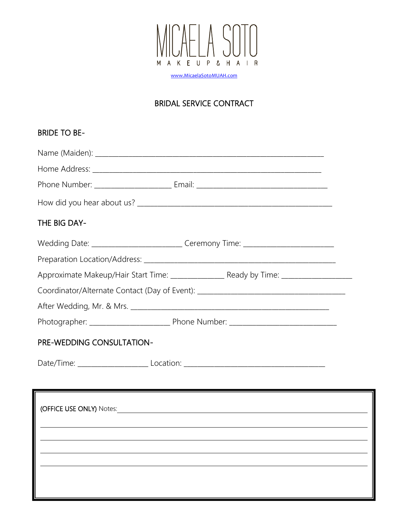

[www.MicaelaSotoMUAH.com](http://www.micaelasotomuah.com/)

# BRIDAL SERVICE CONTRACT

| <b>BRIDE TO BE-</b>                                                                                                    |
|------------------------------------------------------------------------------------------------------------------------|
|                                                                                                                        |
|                                                                                                                        |
|                                                                                                                        |
|                                                                                                                        |
| THE BIG DAY-                                                                                                           |
| Wedding Date: ___________________________Ceremony Time: ________________________                                       |
|                                                                                                                        |
|                                                                                                                        |
| Coordinator/Alternate Contact (Day of Event): __________________________________                                       |
|                                                                                                                        |
|                                                                                                                        |
| <b>PRE-WEDDING CONSULTATION-</b>                                                                                       |
|                                                                                                                        |
| <u> La componenta de la componenta de la componenta de la componenta de la componenta de la componenta de la compo</u> |
|                                                                                                                        |
|                                                                                                                        |
|                                                                                                                        |
|                                                                                                                        |
|                                                                                                                        |
|                                                                                                                        |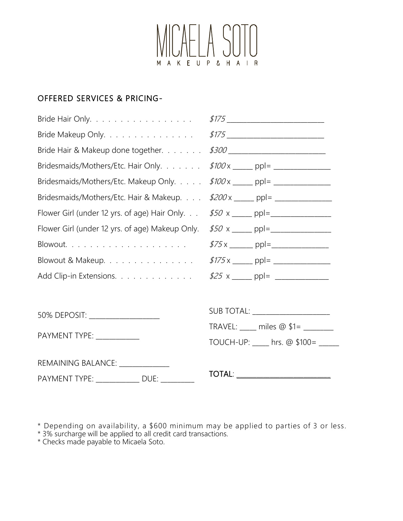

# OFFERED SERVICES & PRICING-

| Bride Hair Only.                                | \$175 ____________________________    |
|-------------------------------------------------|---------------------------------------|
| Bride Makeup Only.                              | \$175 ___________________________     |
| Bride Hair & Makeup done together.              | \$300 ___________________________     |
| Bridesmaids/Mothers/Etc. Hair Only.             |                                       |
| Bridesmaids/Mothers/Etc. Makeup Only.           | $$100 \times \_ \_ ppl = \_ \_ \_ \_$ |
| Bridesmaids/Mothers/Etc. Hair & Makeup.         |                                       |
| Flower Girl (under 12 yrs. of age) Hair Only.   |                                       |
| Flower Girl (under 12 yrs. of age) Makeup Only. |                                       |
| $B$ lowout                                      |                                       |
| Blowout & Makeup.                               |                                       |
| Add Clip-in Extensions.                         |                                       |
|                                                 |                                       |
| 50% DEPOSIT: ____________________               | SUB TOTAL: ______________________     |
|                                                 | TRAVEL: ____ miles @ \$1= _______     |
| PAYMENT TYPE: ___________                       | TOUCH-UP: ___ hrs. @ \$100= ____      |
| REMAINING BALANCE: Network                      |                                       |
| PAYMENT TYPE: _____________ DUE: _________      | TOTAL: _________________________      |

\* Depending on availability, a \$600 minimum may be applied to parties of 3 or less.

\* 3% surcharge will be applied to all credit card transactions.

\* Checks made payable to Micaela Soto.